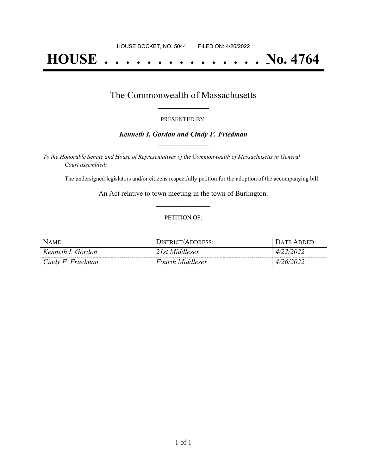# **HOUSE . . . . . . . . . . . . . . . No. 4764**

### The Commonwealth of Massachusetts **\_\_\_\_\_\_\_\_\_\_\_\_\_\_\_\_\_**

#### PRESENTED BY:

#### *Kenneth I. Gordon and Cindy F. Friedman* **\_\_\_\_\_\_\_\_\_\_\_\_\_\_\_\_\_**

*To the Honorable Senate and House of Representatives of the Commonwealth of Massachusetts in General Court assembled:*

The undersigned legislators and/or citizens respectfully petition for the adoption of the accompanying bill:

An Act relative to town meeting in the town of Burlington. **\_\_\_\_\_\_\_\_\_\_\_\_\_\_\_**

#### PETITION OF:

| NAME <sup>.</sup> | DISTRICT/ADDRESS:       | $\Delta T$ F |
|-------------------|-------------------------|--------------|
| Kenneth I. Gordon | Ist Middlesex           | 4/           |
| Cindy F. Friedman | <b>Fourth Middlesex</b> | 47           |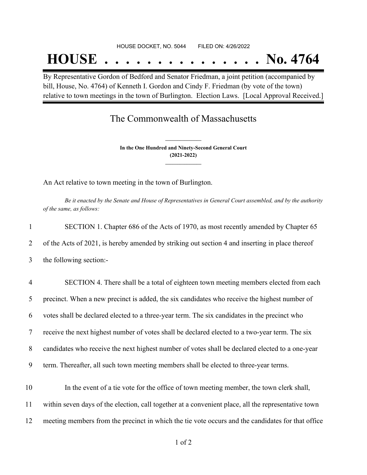## **HOUSE . . . . . . . . . . . . . . . No. 4764**

By Representative Gordon of Bedford and Senator Friedman, a joint petition (accompanied by bill, House, No. 4764) of Kenneth I. Gordon and Cindy F. Friedman (by vote of the town) relative to town meetings in the town of Burlington. Election Laws. [Local Approval Received.]

## The Commonwealth of Massachusetts

**In the One Hundred and Ninety-Second General Court (2021-2022) \_\_\_\_\_\_\_\_\_\_\_\_\_\_\_**

**\_\_\_\_\_\_\_\_\_\_\_\_\_\_\_**

An Act relative to town meeting in the town of Burlington.

Be it enacted by the Senate and House of Representatives in General Court assembled, and by the authority *of the same, as follows:*

| 1              | SECTION 1. Chapter 686 of the Acts of 1970, as most recently amended by Chapter 65                  |
|----------------|-----------------------------------------------------------------------------------------------------|
| 2              | of the Acts of 2021, is hereby amended by striking out section 4 and inserting in place thereof     |
| 3              | the following section:-                                                                             |
| $\overline{4}$ | SECTION 4. There shall be a total of eighteen town meeting members elected from each                |
| 5              | precinct. When a new precinct is added, the six candidates who receive the highest number of        |
| 6              | votes shall be declared elected to a three-year term. The six candidates in the precinct who        |
| 7              | receive the next highest number of votes shall be declared elected to a two-year term. The six      |
| 8              | candidates who receive the next highest number of votes shall be declared elected to a one-year     |
| 9              | term. Thereafter, all such town meeting members shall be elected to three-year terms.               |
| 10             | In the event of a tie vote for the office of town meeting member, the town clerk shall,             |
| 11             | within seven days of the election, call together at a convenient place, all the representative town |
| 12             | meeting members from the precinct in which the tie vote occurs and the candidates for that office   |